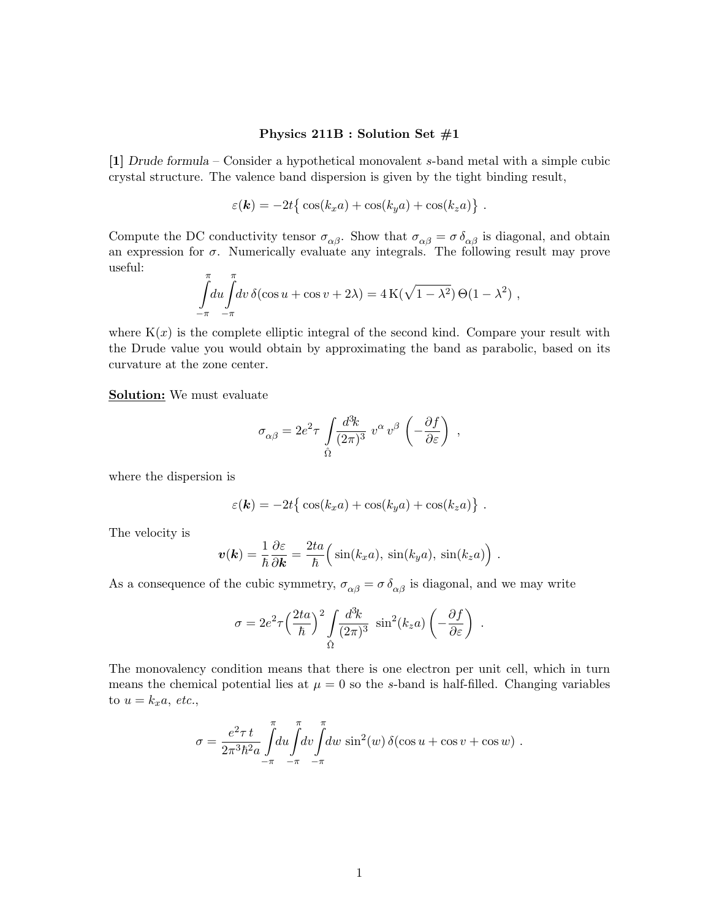## Physics 211B : Solution Set #1

[1] Drude formula – Consider a hypothetical monovalent s-band metal with a simple cubic crystal structure. The valence band dispersion is given by the tight binding result,

$$
\varepsilon(\mathbf{k}) = -2t \{ \cos(k_x a) + \cos(k_y a) + \cos(k_z a) \} .
$$

Compute the DC conductivity tensor  $\sigma_{\alpha\beta}$ . Show that  $\sigma_{\alpha\beta} = \sigma \delta_{\alpha\beta}$  is diagonal, and obtain an expression for  $\sigma$ . Numerically evaluate any integrals. The following result may prove useful:

$$
\int_{-\pi}^{\pi} du \int_{-\pi}^{\pi} dv \, \delta(\cos u + \cos v + 2\lambda) = 4 \operatorname{K}(\sqrt{1 - \lambda^2}) \Theta(1 - \lambda^2) ,
$$

where  $K(x)$  is the complete elliptic integral of the second kind. Compare your result with the Drude value you would obtain by approximating the band as parabolic, based on its curvature at the zone center.

Solution: We must evaluate

$$
\sigma_{\alpha\beta} = 2e^2\tau\,\int\limits_{\hat\Omega}\!\frac{d^3\!k}{(2\pi)^3}\,\,v^\alpha\,v^\beta\,\left(-\frac{\partial f}{\partial\varepsilon}\right)~,
$$

where the dispersion is

$$
\varepsilon(\mathbf{k}) = -2t \{ \cos(k_x a) + \cos(k_y a) + \cos(k_z a) \} .
$$

The velocity is

$$
\boldsymbol{v}(\boldsymbol{k}) = \frac{1}{\hbar} \frac{\partial \varepsilon}{\partial \boldsymbol{k}} = \frac{2ta}{\hbar} \Big( \sin(k_x a), \, \sin(k_y a), \, \sin(k_z a) \Big) \ .
$$

As a consequence of the cubic symmetry,  $\sigma_{\alpha\beta} = \sigma \delta_{\alpha\beta}$  is diagonal, and we may write

$$
\sigma = 2e^2 \tau \left(\frac{2ta}{\hbar}\right)^2 \int \frac{d^3k}{(2\pi)^3} \sin^2(k_z a) \left(-\frac{\partial f}{\partial \varepsilon}\right) .
$$

The monovalency condition means that there is one electron per unit cell, which in turn means the chemical potential lies at  $\mu = 0$  so the s-band is half-filled. Changing variables to  $u = k_x a$ , etc.,

$$
\sigma = \frac{e^2 \tau t}{2\pi^3 \hbar^2 a} \int_{-\pi}^{\pi} du \int_{-\pi}^{\pi} dv \int_{-\pi}^{\pi} dw \sin^2(w) \delta(\cos u + \cos v + \cos w) .
$$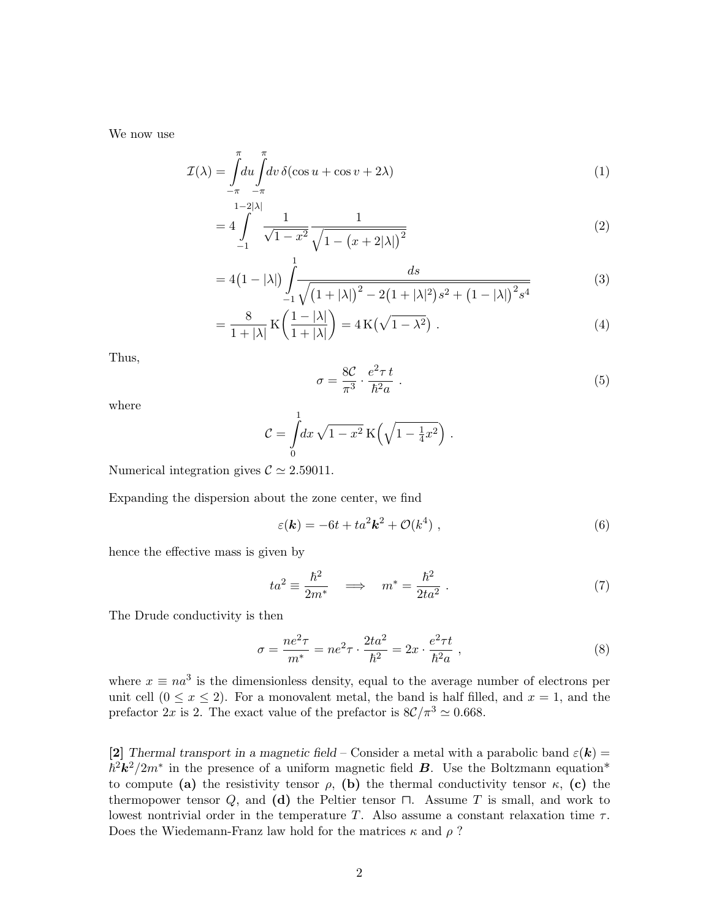We now use

$$
\mathcal{I}(\lambda) = \int_{-\pi}^{\pi} du \int_{-\pi}^{\pi} dv \, \delta(\cos u + \cos v + 2\lambda) \tag{1}
$$

$$
=4\int_{-1}^{1-2|\lambda|}\frac{1}{\sqrt{1-x^2}}\frac{1}{\sqrt{1-(x+2|\lambda|)^2}}
$$
(2)

$$
=4(1-|\lambda|)\int_{-1}^{1} \frac{ds}{\sqrt{(1+|\lambda|)^2-2(1+|\lambda|^2)s^2+(1-|\lambda|)^2/s^4}}
$$
(3)

$$
= \frac{8}{1+|\lambda|} \mathcal{K}\left(\frac{1-|\lambda|}{1+|\lambda|}\right) = 4\mathcal{K}\left(\sqrt{1-\lambda^2}\right). \tag{4}
$$

Thus,

$$
\sigma = \frac{8\mathcal{C}}{\pi^3} \cdot \frac{e^2 \tau t}{\hbar^2 a} \ . \tag{5}
$$

where

$$
\mathcal{C} = \int\limits_0^1 dx \sqrt{1 - x^2} \, \mathrm{K} \left( \sqrt{1 - \frac{1}{4} x^2} \right) \, .
$$

Numerical integration gives  $C \simeq 2.59011$ .

Expanding the dispersion about the zone center, we find

$$
\varepsilon(\mathbf{k}) = -6t + ta^2 \mathbf{k}^2 + \mathcal{O}(k^4) \tag{6}
$$

hence the effective mass is given by

$$
ta^2 \equiv \frac{\hbar^2}{2m^*} \quad \Longrightarrow \quad m^* = \frac{\hbar^2}{2ta^2} \ . \tag{7}
$$

The Drude conductivity is then

$$
\sigma = \frac{ne^2 \tau}{m^*} = ne^2 \tau \cdot \frac{2ta^2}{\hbar^2} = 2x \cdot \frac{e^2 \tau t}{\hbar^2 a} , \qquad (8)
$$

where  $x \equiv na^3$  is the dimensionless density, equal to the average number of electrons per unit cell  $(0 \le x \le 2)$ . For a monovalent metal, the band is half filled, and  $x = 1$ , and the prefactor  $2x$  is 2. The exact value of the prefactor is  $8\mathcal{C}/\pi^3 \simeq 0.668$ .

[2] Thermal transport in a magnetic field – Consider a metal with a parabolic band  $\varepsilon(\mathbf{k}) =$  $\hbar^2 k^2/2m^*$  in the presence of a uniform magnetic field **B**. Use the Boltzmann equation\* to compute (a) the resistivity tensor  $\rho$ , (b) the thermal conductivity tensor  $\kappa$ , (c) the thermopower tensor  $Q$ , and  $(d)$  the Peltier tensor  $\Box$ . Assume T is small, and work to lowest nontrivial order in the temperature T. Also assume a constant relaxation time  $\tau$ . Does the Wiedemann-Franz law hold for the matrices  $\kappa$  and  $\rho$ ?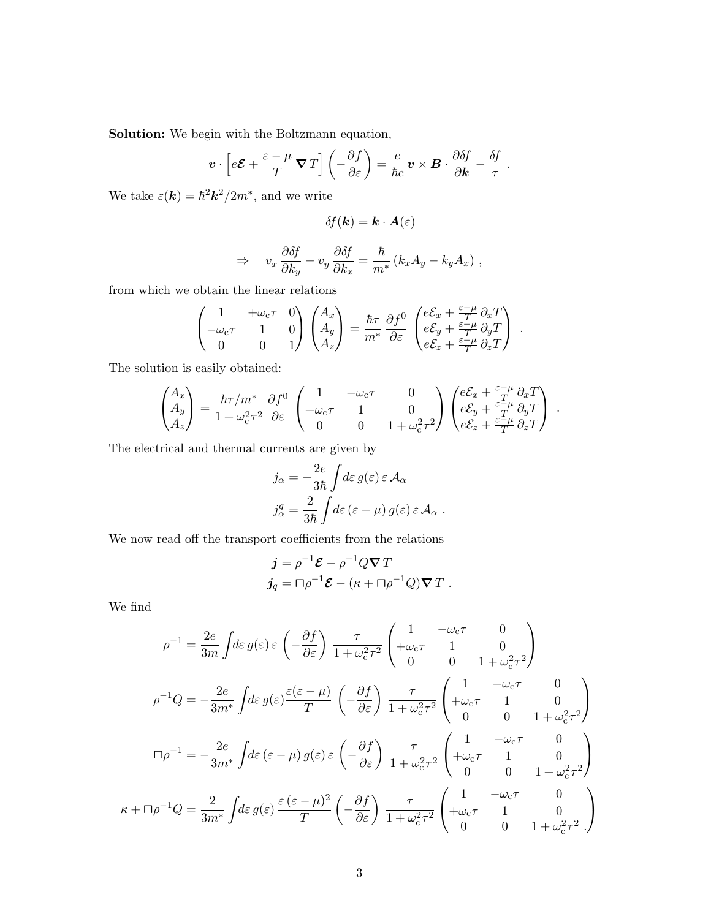Solution: We begin with the Boltzmann equation,

$$
\boldsymbol{v} \cdot \left[ e \boldsymbol{\mathcal{E}} + \frac{\varepsilon - \mu}{T} \boldsymbol{\nabla} T \right] \left( -\frac{\partial f}{\partial \varepsilon} \right) = \frac{e}{\hbar c} \boldsymbol{v} \times \boldsymbol{B} \cdot \frac{\partial \delta f}{\partial \boldsymbol{k}} - \frac{\delta f}{\tau} .
$$

We take  $\varepsilon(\mathbf{k}) = \hbar^2 \mathbf{k}^2 / 2m^*$ , and we write

$$
\delta\!f(\bm{k})=\bm{k}\cdot\bm{A}(\varepsilon)
$$

$$
\Rightarrow \t v_x \frac{\partial \delta f}{\partial k_y} - v_y \frac{\partial \delta f}{\partial k_x} = \frac{\hbar}{m^*} (k_x A_y - k_y A_x) ,
$$

from which we obtain the linear relations

$$
\begin{pmatrix} 1 & +\omega_{\rm c}\tau & 0 \\ -\omega_{\rm c}\tau & 1 & 0 \\ 0 & 0 & 1 \end{pmatrix} \begin{pmatrix} A_x \\ A_y \\ A_z \end{pmatrix} = \frac{\hbar\tau}{m^*} \frac{\partial f^0}{\partial \varepsilon} \begin{pmatrix} e\mathcal{E}_x + \frac{\varepsilon-\mu}{T} \partial_x T \\ e\mathcal{E}_y + \frac{\varepsilon-\mu}{T} \partial_y T \\ e\mathcal{E}_z + \frac{\varepsilon-\mu}{T} \partial_z T \end{pmatrix} .
$$

The solution is easily obtained:

$$
\begin{pmatrix} A_x \\ A_y \\ A_z \end{pmatrix} = \frac{\hbar \tau/m^*}{1+\omega_{\rm c}^2\tau^2}\,\frac{\partial f^0}{\partial \varepsilon}\,\begin{pmatrix} 1 & -\omega_{\rm c}\tau & 0 \\ +\omega_{\rm c}\tau & 1 & 0 \\ 0 & 0 & 1+\omega_{\rm c}^2\tau^2 \end{pmatrix} \begin{pmatrix} e\mathcal{E}_x + \frac{\varepsilon-\mu}{T}\,\partial_x T \\ e\mathcal{E}_y + \frac{\varepsilon-\mu}{T}\,\partial_y T \\ e\mathcal{E}_z + \frac{\varepsilon-\mu}{T}\,\partial_z T \end{pmatrix} \; . \label{eq:Asymptotic}
$$

The electrical and thermal currents are given by

$$
j_{\alpha} = -\frac{2e}{3\hbar} \int d\varepsilon \, g(\varepsilon) \, \varepsilon \, \mathcal{A}_{\alpha}
$$

$$
j_{\alpha}^{q} = \frac{2}{3\hbar} \int d\varepsilon \, (\varepsilon - \mu) \, g(\varepsilon) \, \varepsilon \, \mathcal{A}_{\alpha} \, .
$$

We now read off the transport coefficients from the relations

$$
\begin{aligned}\nj &= \rho^{-1} \mathcal{E} - \rho^{-1} Q \nabla T \\
j_q &= \Box \rho^{-1} \mathcal{E} - (\kappa + \Box \rho^{-1} Q) \nabla T \ .\n\end{aligned}
$$

We find

$$
\rho^{-1} = \frac{2e}{3m} \int d\varepsilon \, g(\varepsilon) \, \varepsilon \, \left( -\frac{\partial f}{\partial \varepsilon} \right) \frac{\tau}{1 + \omega_c^2 \tau^2} \begin{pmatrix} 1 & -\omega_c \tau & 0 \\ +\omega_c \tau & 1 & 0 \\ 0 & 0 & 1 + \omega_c^2 \tau^2 \end{pmatrix}
$$

$$
\rho^{-1} Q = -\frac{2e}{3m^*} \int d\varepsilon \, g(\varepsilon) \frac{\varepsilon(\varepsilon - \mu)}{T} \begin{pmatrix} -\frac{\partial f}{\partial \varepsilon} \end{pmatrix} \frac{\tau}{1 + \omega_c^2 \tau^2} \begin{pmatrix} 1 & -\omega_c \tau & 0 \\ +\omega_c \tau & 1 & 0 \\ 0 & 0 & 1 + \omega_c^2 \tau^2 \end{pmatrix}
$$

$$
\Pi \rho^{-1} = -\frac{2e}{3m^*} \int d\varepsilon \, (\varepsilon - \mu) \, g(\varepsilon) \, \varepsilon \, \left( -\frac{\partial f}{\partial \varepsilon} \right) \frac{\tau}{1 + \omega_c^2 \tau^2} \begin{pmatrix} 1 & -\omega_c \tau & 0 \\ +\omega_c \tau & 1 & 0 \\ 0 & 0 & 1 + \omega_c^2 \tau^2 \end{pmatrix}
$$

$$
\kappa + \Pi \rho^{-1} Q = \frac{2}{3m^*} \int d\varepsilon \, g(\varepsilon) \, \frac{\varepsilon \, (\varepsilon - \mu)^2}{T} \begin{pmatrix} -\frac{\partial f}{\partial \varepsilon} \end{pmatrix} \frac{\tau}{1 + \omega_c^2 \tau^2} \begin{pmatrix} 1 & -\omega_c \tau & 0 \\ +\omega_c \tau & 1 & 0 \\ 0 & 0 & 1 + \omega_c^2 \tau^2 \end{pmatrix}
$$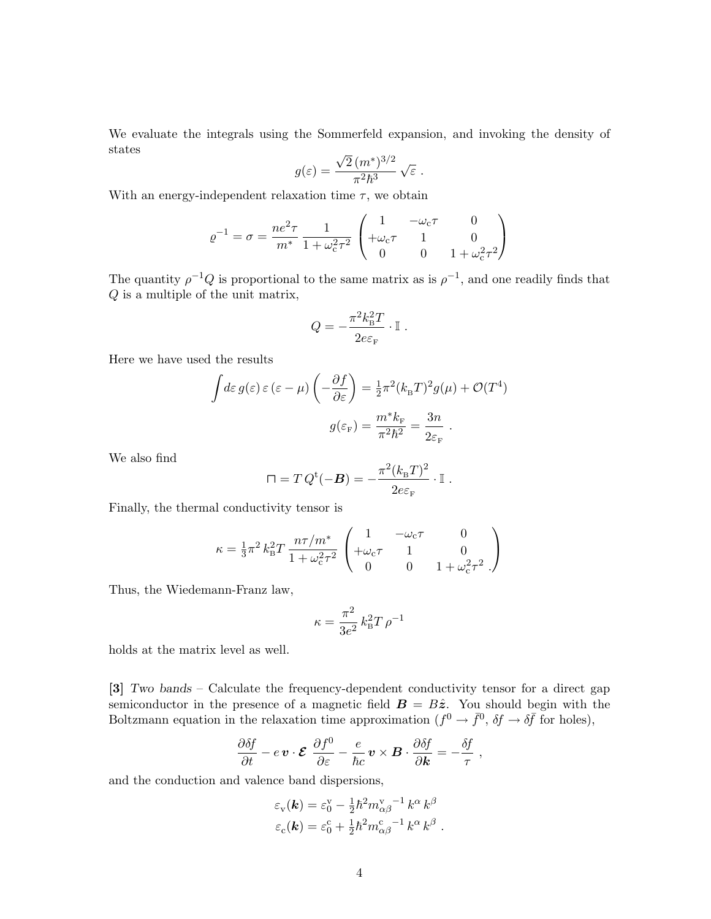We evaluate the integrals using the Sommerfeld expansion, and invoking the density of states √

$$
g(\varepsilon) = \frac{\sqrt{2} (m^*)^{3/2}}{\pi^2 \hbar^3} \sqrt{\varepsilon}.
$$

With an energy-independent relaxation time  $\tau$ , we obtain

$$
\varrho^{-1} = \sigma = \frac{ne^2 \tau}{m^*} \frac{1}{1 + \omega_c^2 \tau^2} \begin{pmatrix} 1 & -\omega_c \tau & 0 \\ +\omega_c \tau & 1 & 0 \\ 0 & 0 & 1 + \omega_c^2 \tau^2 \end{pmatrix}
$$

The quantity  $\rho^{-1}Q$  is proportional to the same matrix as is  $\rho^{-1}$ , and one readily finds that Q is a multiple of the unit matrix,

$$
Q = -\frac{\pi^2 k_\text{B}^2 T}{2 e \varepsilon_\text{F}} \cdot \mathbb{I}.
$$

Here we have used the results

$$
\int d\varepsilon \, g(\varepsilon) \, \varepsilon \, (\varepsilon - \mu) \left( -\frac{\partial f}{\partial \varepsilon} \right) = \frac{1}{2} \pi^2 (k_{\text{B}} T)^2 g(\mu) + \mathcal{O}(T^4)
$$
\n
$$
g(\varepsilon_{\text{F}}) = \frac{m^* k_{\text{F}}}{\pi^2 \hbar^2} = \frac{3n}{2\varepsilon_{\text{F}}}.
$$

We also find

$$
\Box = T Q^{\rm t}(-B) = -\frac{\pi^2 (k_{\rm B} T)^2}{2e \varepsilon_{\rm F}} \cdot \mathbb{I}.
$$

Finally, the thermal conductivity tensor is

$$
\kappa = \frac{1}{3}\pi^2 k_B^2 T \frac{n\tau/m^*}{1 + \omega_c^2 \tau^2} \begin{pmatrix} 1 & -\omega_c \tau & 0 \\ +\omega_c \tau & 1 & 0 \\ 0 & 0 & 1 + \omega_c^2 \tau^2 \end{pmatrix}
$$

Thus, the Wiedemann-Franz law,

$$
\kappa = \frac{\pi^2}{3e^2} k_\mathrm{B}^2 T \, \rho^{-1}
$$

holds at the matrix level as well.

[3] Two bands – Calculate the frequency-dependent conductivity tensor for a direct gap semiconductor in the presence of a magnetic field  $\mathbf{B} = B\hat{z}$ . You should begin with the Boltzmann equation in the relaxation time approximation  $(f^0 \to \bar{f}^0, \delta f \to \delta \bar{f}$  for holes),

$$
\frac{\partial \delta f}{\partial t} - e \, \boldsymbol{v} \cdot \boldsymbol{\mathcal{E}} \, \frac{\partial f^0}{\partial \varepsilon} - \frac{e}{\hbar c} \, \boldsymbol{v} \times \boldsymbol{B} \cdot \frac{\partial \delta f}{\partial \boldsymbol{k}} = - \frac{\delta f}{\tau} \ ,
$$

and the conduction and valence band dispersions,

$$
\varepsilon_{\rm v}(\mathbf{k}) = \varepsilon_0^{\rm v} - \frac{1}{2} \hbar^2 m_{\alpha\beta}^{\rm v} - k^{\alpha} k^{\beta}
$$
  

$$
\varepsilon_{\rm c}(\mathbf{k}) = \varepsilon_0^{\rm c} + \frac{1}{2} \hbar^2 m_{\alpha\beta}^{\rm c} - k^{\alpha} k^{\beta}.
$$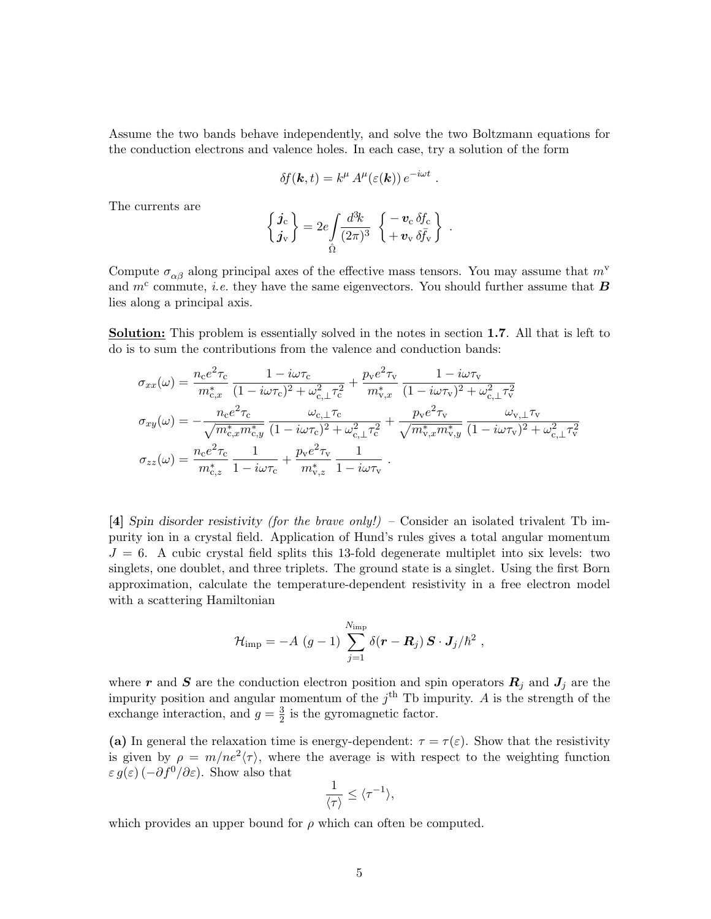Assume the two bands behave independently, and solve the two Boltzmann equations for the conduction electrons and valence holes. In each case, try a solution of the form

$$
\delta f(\mathbf{k},t) = k^{\mu} A^{\mu}(\varepsilon(\mathbf{k})) e^{-i\omega t}
$$

.

The currents are

$$
\begin{Bmatrix} \boldsymbol{j}_{\mathrm{c}} \\ \boldsymbol{j}_{\mathrm{v}} \end{Bmatrix} = 2e \int \frac{d^3k}{(2\pi)^3} \begin{Bmatrix} -\boldsymbol{v}_{\mathrm{c}} \,\delta f_{\mathrm{c}} \\ +\boldsymbol{v}_{\mathrm{v}} \,\delta \bar{f}_{\mathrm{v}} \end{Bmatrix}.
$$

Compute  $\sigma_{\alpha\beta}$  along principal axes of the effective mass tensors. You may assume that  $m^{\rm v}$ and  $m<sup>c</sup>$  commute, *i.e.* they have the same eigenvectors. You should further assume that **B** lies along a principal axis.

Solution: This problem is essentially solved in the notes in section 1.7. All that is left to do is to sum the contributions from the valence and conduction bands:

$$
\sigma_{xx}(\omega) = \frac{n_{\rm c}e^2 \tau_{\rm c}}{m_{\rm c,x}^*} \frac{1 - i\omega \tau_{\rm c}}{(1 - i\omega \tau_{\rm c})^2 + \omega_{\rm c,\perp}^2 \tau_{\rm c}^2} + \frac{p_{\rm v}e^2 \tau_{\rm v}}{m_{\rm v,x}^*} \frac{1 - i\omega \tau_{\rm v}}{(1 - i\omega \tau_{\rm v})^2 + \omega_{\rm c,\perp}^2 \tau_{\rm v}^2}
$$
\n
$$
\sigma_{xy}(\omega) = -\frac{n_{\rm c}e^2 \tau_{\rm c}}{\sqrt{m_{\rm c,x}^* m_{\rm c,y}^*}} \frac{\omega_{\rm c,\perp} \tau_{\rm c}}{(1 - i\omega \tau_{\rm c})^2 + \omega_{\rm c,\perp}^2 \tau_{\rm c}^2} + \frac{p_{\rm v}e^2 \tau_{\rm v}}{\sqrt{m_{\rm v,x}^* m_{\rm v,y}^*}} \frac{\omega_{\rm v,\perp} \tau_{\rm v}}{(1 - i\omega \tau_{\rm v})^2 + \omega_{\rm c,\perp}^2 \tau_{\rm v}^2}
$$
\n
$$
\sigma_{zz}(\omega) = \frac{n_{\rm c}e^2 \tau_{\rm c}}{m_{\rm c,z}^*} \frac{1}{1 - i\omega \tau_{\rm c}} + \frac{p_{\rm v}e^2 \tau_{\rm v}}{m_{\rm v,z}^*} \frac{1}{1 - i\omega \tau_{\rm v}}.
$$

[4] Spin disorder resistivity (for the brave only!) – Consider an isolated trivalent Tb impurity ion in a crystal field. Application of Hund's rules gives a total angular momentum  $J = 6$ . A cubic crystal field splits this 13-fold degenerate multiplet into six levels: two singlets, one doublet, and three triplets. The ground state is a singlet. Using the first Born approximation, calculate the temperature-dependent resistivity in a free electron model with a scattering Hamiltonian

$$
\mathcal{H}_{\text{imp}} = -A\,\left(g-1\right)\,\sum_{j=1}^{N_{\text{imp}}}\delta(\boldsymbol{r}-\boldsymbol{R}_j)\,\boldsymbol{S}\cdot\boldsymbol{J}_j/\hbar^2\;,
$$

where r and S are the conduction electron position and spin operators  $R_j$  and  $J_j$  are the impurity position and angular momentum of the  $j<sup>th</sup>$  Tb impurity. A is the strength of the exchange interaction, and  $g = \frac{3}{2}$  $\frac{3}{2}$  is the gyromagnetic factor.

(a) In general the relaxation time is energy-dependent:  $\tau = \tau(\varepsilon)$ . Show that the resistivity is given by  $\rho = m/ne^2\langle \tau \rangle$ , where the average is with respect to the weighting function  $\varepsilon g(\varepsilon)$  ( $-\partial f^0/\partial \varepsilon$ ). Show also that

$$
\frac{1}{\langle \tau \rangle} \leq \langle \tau^{-1} \rangle,
$$

which provides an upper bound for  $\rho$  which can often be computed.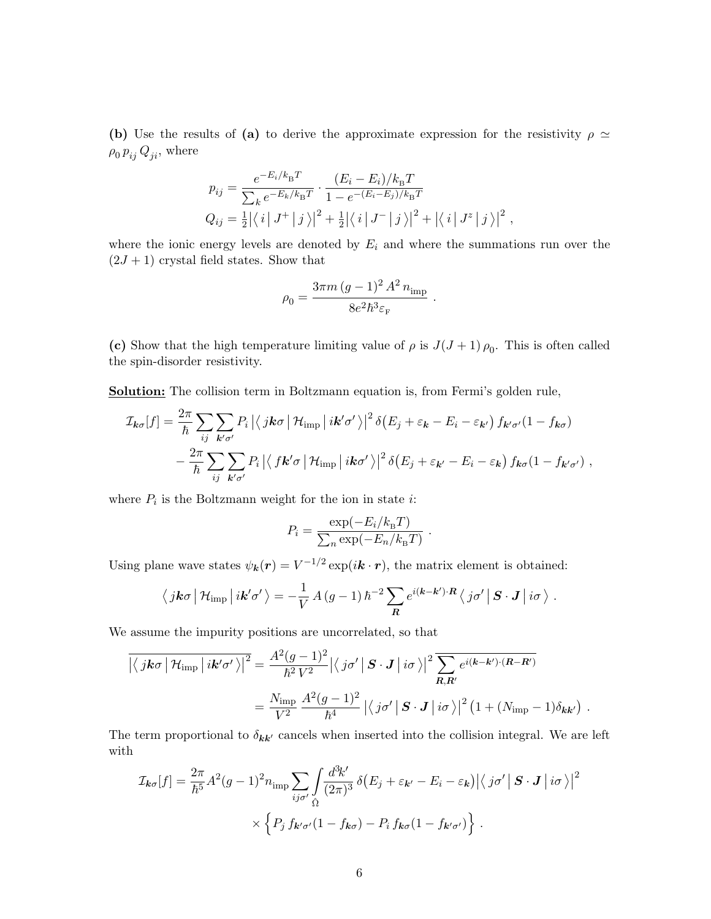(b) Use the results of (a) to derive the approximate expression for the resistivity  $\rho \simeq$  $\rho_0 p_{ij} Q_{ji}$ , where

$$
p_{ij} = \frac{e^{-E_i/k_{\rm B}T}}{\sum_k e^{-E_k/k_{\rm B}T}} \cdot \frac{(E_i - E_i)/k_{\rm B}T}{1 - e^{-(E_i - E_j)/k_{\rm B}T}}
$$
  
\n
$$
Q_{ij} = \frac{1}{2} |\langle i | J^+ | j \rangle|^2 + \frac{1}{2} |\langle i | J^- | j \rangle|^2 + |\langle i | J^z | j \rangle|^2,
$$

where the ionic energy levels are denoted by  $E_i$  and where the summations run over the  $(2J + 1)$  crystal field states. Show that

$$
\rho_0 = \frac{3\pi m\,(g-1)^2\,A^2\,n_{\rm imp}}{8e^2\hbar^3\varepsilon_{\rm F}}\ .
$$

(c) Show that the high temperature limiting value of  $\rho$  is  $J(J+1)\rho_0$ . This is often called the spin-disorder resistivity.

Solution: The collision term in Boltzmann equation is, from Fermi's golden rule,

$$
\mathcal{I}_{\mathbf{k}\sigma}[f] = \frac{2\pi}{\hbar} \sum_{ij} \sum_{\mathbf{k}'\sigma'} P_i \left| \left\langle j\mathbf{k}\sigma \left| \mathcal{H}_{\text{imp}} \right| i\mathbf{k}'\sigma' \right\rangle \right|^2 \delta(E_j + \varepsilon_{\mathbf{k}} - E_i - \varepsilon_{\mathbf{k}'}) f_{\mathbf{k}'\sigma'}(1 - f_{\mathbf{k}\sigma}) - \frac{2\pi}{\hbar} \sum_{ij} \sum_{\mathbf{k}'\sigma'} P_i \left| \left\langle f\mathbf{k}'\sigma \left| \mathcal{H}_{\text{imp}} \right| i\mathbf{k}\sigma' \right\rangle \right|^2 \delta(E_j + \varepsilon_{\mathbf{k}'} - E_i - \varepsilon_{\mathbf{k}}) f_{\mathbf{k}\sigma}(1 - f_{\mathbf{k}'\sigma'}) ,
$$

where  $P_i$  is the Boltzmann weight for the ion in state *i*:

$$
P_i = \frac{\exp(-E_i/k_\text{B}T)}{\sum_n \exp(-E_n/k_\text{B}T)}
$$

.

Using plane wave states  $\psi_{\mathbf{k}}(\mathbf{r}) = V^{-1/2} \exp(i \mathbf{k} \cdot \mathbf{r})$ , the matrix element is obtained:

$$
\langle j\mathbf{k}\sigma \left| \mathcal{H}_{\text{imp}} \right| i\mathbf{k}'\sigma' \rangle = -\frac{1}{V} A(g-1) \hbar^{-2} \sum_{\mathbf{R}} e^{i(\mathbf{k}-\mathbf{k}')\cdot \mathbf{R}} \langle j\sigma' \left| \right. \mathbf{S} \cdot \mathbf{J} \left| i\sigma \right. \rangle \, .
$$

We assume the impurity positions are uncorrelated, so that

$$
\overline{\left| \langle j\mathbf{k}\sigma \left| \mathcal{H}_{\text{imp}} \left| i\mathbf{k}'\sigma' \right\rangle \right|^2} = \frac{A^2 (g-1)^2}{\hbar^2 V^2} \left| \langle j\sigma' \left| \mathbf{S} \cdot \mathbf{J} \right| i\sigma \right\rangle \right|^2 \overline{\sum_{\mathbf{R},\mathbf{R}'} e^{i(\mathbf{k}-\mathbf{k}')\cdot (\mathbf{R}-\mathbf{R}')}}\n= \frac{N_{\text{imp}}}{V^2} \frac{A^2 (g-1)^2}{\hbar^4} \left| \langle j\sigma' \left| \mathbf{S} \cdot \mathbf{J} \right| i\sigma \right\rangle \right|^2 \left(1 + (N_{\text{imp}} - 1)\delta_{\mathbf{k}\mathbf{k}'}\right) .
$$

The term proportional to  $\delta_{kk'}$  cancels when inserted into the collision integral. We are left with

$$
\mathcal{I}_{\mathbf{k}\sigma}[f] = \frac{2\pi}{\hbar^5} A^2 (g-1)^2 n_{\rm imp} \sum_{ij\sigma'} \int \frac{d^3k'}{(2\pi)^3} \delta(E_j + \varepsilon_{\mathbf{k}'} - E_i - \varepsilon_{\mathbf{k}}) |\langle j\sigma' | \mathbf{S} \cdot \mathbf{J} | i\sigma \rangle|^2
$$

$$
\times \left\{ P_j f_{\mathbf{k}'\sigma'} (1 - f_{\mathbf{k}\sigma}) - P_i f_{\mathbf{k}\sigma} (1 - f_{\mathbf{k}'\sigma'}) \right\}.
$$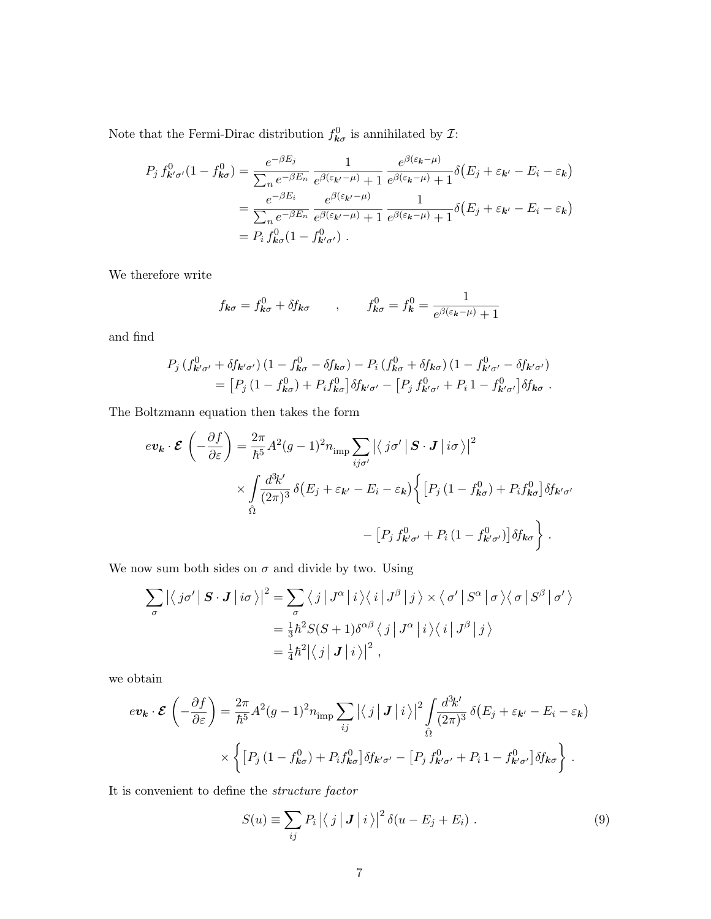Note that the Fermi-Dirac distribution  $f_{\mathbf{k}\sigma}^{0}$  is annihilated by  $\mathcal{I}$ :

$$
P_j f_{\mathbf{k}'\sigma'}^0(1 - f_{\mathbf{k}\sigma}^0) = \frac{e^{-\beta E_j}}{\sum_n e^{-\beta E_n}} \frac{1}{e^{\beta(\varepsilon_{\mathbf{k}'} - \mu)} + 1} \frac{e^{\beta(\varepsilon_{\mathbf{k}'} - \mu)}}{e^{\beta(\varepsilon_{\mathbf{k}'} - \mu)} + 1} \delta(E_j + \varepsilon_{\mathbf{k}'} - E_i - \varepsilon_{\mathbf{k}})
$$
  
= 
$$
\frac{e^{-\beta E_i}}{\sum_n e^{-\beta E_n}} \frac{e^{\beta(\varepsilon_{\mathbf{k}'} - \mu)}}{e^{\beta(\varepsilon_{\mathbf{k}'} - \mu)} + 1} \frac{1}{e^{\beta(\varepsilon_{\mathbf{k}'} - \mu)} + 1} \delta(E_j + \varepsilon_{\mathbf{k}'} - E_i - \varepsilon_{\mathbf{k}})
$$
  
= 
$$
P_i f_{\mathbf{k}\sigma}^0(1 - f_{\mathbf{k}'\sigma'}^0).
$$

We therefore write

$$
f_{\mathbf{k}\sigma} = f_{\mathbf{k}\sigma}^0 + \delta f_{\mathbf{k}\sigma} \qquad , \qquad f_{\mathbf{k}\sigma}^0 = f_{\mathbf{k}}^0 = \frac{1}{e^{\beta(\varepsilon_{\mathbf{k}} - \mu)} + 1}
$$

and find

$$
P_j (f_{\mathbf{k}'\sigma'}^0 + \delta f_{\mathbf{k}'\sigma'})(1 - f_{\mathbf{k}\sigma}^0 - \delta f_{\mathbf{k}\sigma}) - P_i (f_{\mathbf{k}\sigma}^0 + \delta f_{\mathbf{k}\sigma})(1 - f_{\mathbf{k}'\sigma'}^0 - \delta f_{\mathbf{k}'\sigma'})
$$
  
= 
$$
[P_j (1 - f_{\mathbf{k}\sigma}^0) + P_i f_{\mathbf{k}\sigma}^0] \delta f_{\mathbf{k}'\sigma'} - [P_j f_{\mathbf{k}'\sigma'}^0 + P_i 1 - f_{\mathbf{k}'\sigma'}^0] \delta f_{\mathbf{k}\sigma}.
$$

The Boltzmann equation then takes the form

$$
ev_{\mathbf{k}} \cdot \mathcal{E} \left( -\frac{\partial f}{\partial \varepsilon} \right) = \frac{2\pi}{\hbar^5} A^2 (g-1)^2 n_{\text{imp}} \sum_{ij\sigma'} \left| \left\langle j\sigma' \right| \mathbf{S} \cdot \mathbf{J} \right| i\sigma \right\rangle \Big| ^2
$$
  
\$\times \int\_{\hat{\Omega}} \frac{d^3 k'}{(2\pi)^3} \delta(E\_j + \varepsilon\_{\mathbf{k'}} - E\_i - \varepsilon\_{\mathbf{k}} \right\} \left[ P\_j (1 - f\_{\mathbf{k}\sigma}^0) + P\_i f\_{\mathbf{k}\sigma}^0 \right] \delta f\_{\mathbf{k'}\sigma'}\$  
-\left[ P\_j f\_{\mathbf{k'}\sigma'}^0 + P\_i (1 - f\_{\mathbf{k'}\sigma'}^0) \right] \delta f\_{\mathbf{k}\sigma} \Big\} .

We now sum both sides on  $\sigma$  and divide by two. Using

$$
\sum_{\sigma} \left| \left\langle j\sigma' \right| \mathbf{S} \cdot \mathbf{J} \right| i\sigma \rangle \right|^{2} = \sum_{\sigma} \left\langle j \left| J^{\alpha} \right| i \right\rangle \left\langle i \left| J^{\beta} \right| j \right\rangle \times \left\langle \sigma' \right| S^{\alpha} \left| \sigma \right\rangle \left\langle \sigma \right| S^{\beta} \left| \sigma' \right\rangle
$$

$$
= \frac{1}{3} \hbar^{2} S(S+1) \delta^{\alpha\beta} \left\langle j \right| J^{\alpha} \left| i \right\rangle \left\langle i \right| J^{\beta} \left| j \right\rangle
$$

$$
= \frac{1}{4} \hbar^{2} \left| \left\langle j \right| \mathbf{J} \left| i \right\rangle \right|^{2},
$$

we obtain

$$
ev_{\mathbf{k}} \cdot \mathcal{E}\left(-\frac{\partial f}{\partial \varepsilon}\right) = \frac{2\pi}{\hbar^5} A^2 (g-1)^2 n_{\rm imp} \sum_{ij} |\langle j | J | i \rangle|^2 \int_{\hat{\Omega}} \frac{d^3 k'}{(2\pi)^3} \delta(E_j + \varepsilon_{\mathbf{k'}} - E_i - \varepsilon_{\mathbf{k}})
$$

$$
\times \left\{ \left[ P_j \left( 1 - f_{\mathbf{k}\sigma}^0 \right) + P_i f_{\mathbf{k}\sigma}^0 \right] \delta f_{\mathbf{k'}\sigma'} - \left[ P_j \, f_{\mathbf{k'}\sigma'}^0 + P_i \, 1 - f_{\mathbf{k'}\sigma'}^0 \right] \delta f_{\mathbf{k}\sigma} \right\} \, .
$$

It is convenient to define the structure factor

$$
S(u) \equiv \sum_{ij} P_i |\langle j | \mathbf{J} | i \rangle|^2 \delta(u - E_j + E_i) . \tag{9}
$$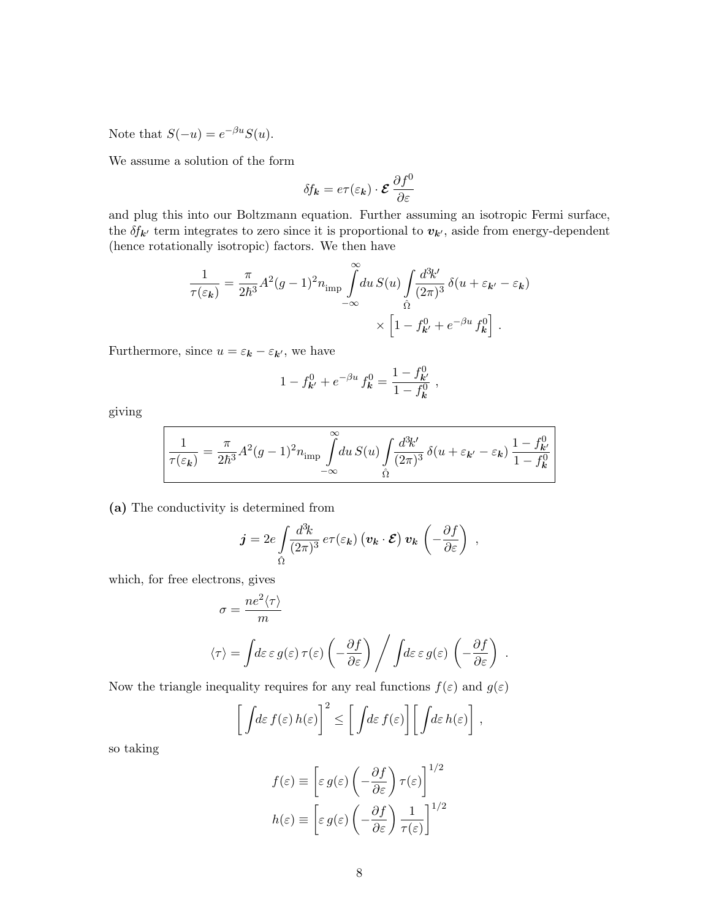Note that  $S(-u) = e^{-\beta u} S(u)$ .

We assume a solution of the form

$$
\delta f_{\bm{k}} = e \tau(\varepsilon_{\bm{k}}) \cdot \bm{\mathcal{E}} \, \frac{\partial f^0}{\partial \varepsilon}
$$

and plug this into our Boltzmann equation. Further assuming an isotropic Fermi surface, the  $\delta f_{\mathbf{k}'}$  term integrates to zero since it is proportional to  $v_{\mathbf{k}'},$  aside from energy-dependent (hence rotationally isotropic) factors. We then have

$$
\frac{1}{\tau(\varepsilon_{\mathbf{k}})} = \frac{\pi}{2\hbar^3} A^2 (g-1)^2 n_{\text{imp}} \int_{-\infty}^{\infty} du \, S(u) \int_{\hat{\Omega}} \frac{d^3 k'}{(2\pi)^3} \, \delta(u + \varepsilon_{\mathbf{k'}} - \varepsilon_{\mathbf{k}}) \times \left[1 - f_{\mathbf{k'}}^0 + e^{-\beta u} f_{\mathbf{k}}^0\right] \, .
$$

Furthermore, since  $u = \varepsilon_{\mathbf{k}} - \varepsilon_{\mathbf{k}'},$  we have

$$
1 - f_{\mathbf{k}'}^0 + e^{-\beta u} f_{\mathbf{k}}^0 = \frac{1 - f_{\mathbf{k}'}^0}{1 - f_{\mathbf{k}}^0} ,
$$

giving

$$
\frac{1}{\tau(\varepsilon_{\mathbf{k}})} = \frac{\pi}{2\hbar^3} A^2 (g-1)^2 n_{\text{imp}} \int\limits_{-\infty}^{\infty} du \, S(u) \int\limits_{\hat{\Omega}} \frac{d^3 k'}{(2\pi)^3} \, \delta(u+\varepsilon_{\mathbf{k'}}-\varepsilon_{\mathbf{k}}) \, \frac{1-f_{\mathbf{k'}}^0}{1-f_{\mathbf{k}}^0}
$$

(a) The conductivity is determined from

$$
\boldsymbol{j} = 2e \int \frac{d^3k}{(2\pi)^3} e \tau(\varepsilon_{\boldsymbol{k}}) \left( \boldsymbol{v}_{\boldsymbol{k}} \cdot \boldsymbol{\mathcal{E}} \right) \boldsymbol{v}_{\boldsymbol{k}} \left( -\frac{\partial f}{\partial \varepsilon} \right) ,
$$

which, for free electrons, gives

$$
\sigma = \frac{ne^2 \langle \tau \rangle}{m}
$$

$$
\langle \tau \rangle = \int d\varepsilon \, \varepsilon \, g(\varepsilon) \, \tau(\varepsilon) \left( -\frac{\partial f}{\partial \varepsilon} \right) \Bigg/ \int d\varepsilon \, \varepsilon \, g(\varepsilon) \, \left( -\frac{\partial f}{\partial \varepsilon} \right)
$$

.

Now the triangle inequality requires for any real functions  $f(\varepsilon)$  and  $g(\varepsilon)$ 

$$
\left[\int d\varepsilon\, f(\varepsilon)\,h(\varepsilon)\right]^2 \leq \left[\int d\varepsilon\, f(\varepsilon)\right] \left[\int d\varepsilon\, h(\varepsilon)\right],
$$

so taking

$$
f(\varepsilon) \equiv \left[ \varepsilon g(\varepsilon) \left( -\frac{\partial f}{\partial \varepsilon} \right) \tau(\varepsilon) \right]^{1/2}
$$

$$
h(\varepsilon) \equiv \left[ \varepsilon g(\varepsilon) \left( -\frac{\partial f}{\partial \varepsilon} \right) \frac{1}{\tau(\varepsilon)} \right]^{1/2}
$$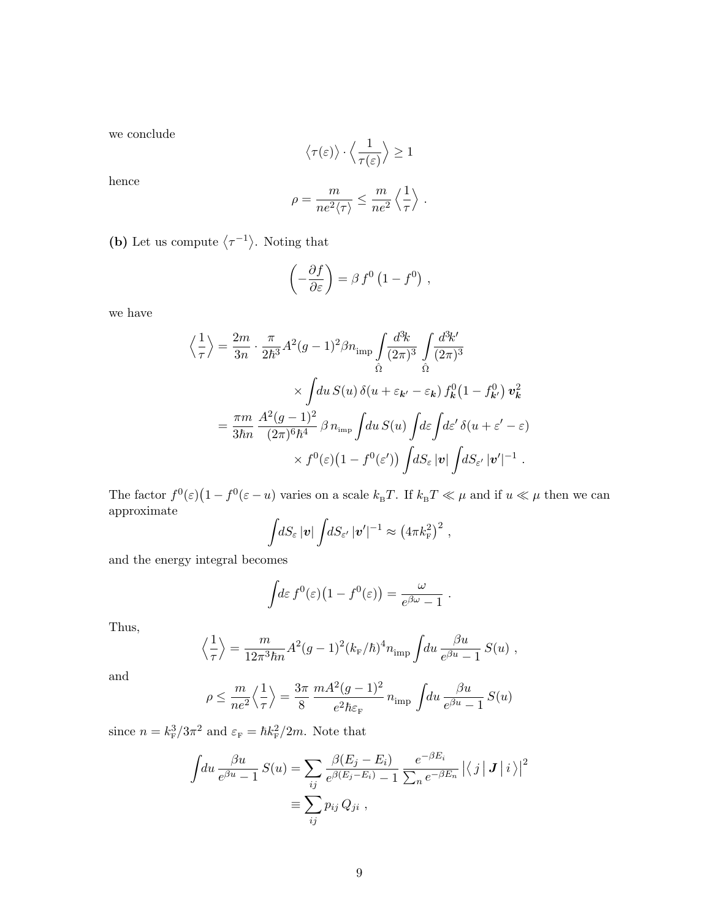we conclude

$$
\left\langle\tau(\varepsilon)\right\rangle\cdot\left\langle\frac{1}{\tau(\varepsilon)}\right\rangle\geq 1
$$

hence

$$
\rho = \frac{m}{ne^2 \langle \tau \rangle} \leq \frac{m}{ne^2} \left\langle \frac{1}{\tau} \right\rangle .
$$

(b) Let us compute  $\langle \tau^{-1} \rangle$ . Noting that

 $\langle$ 

$$
\left(-\frac{\partial f}{\partial \varepsilon}\right) = \beta f^0 \left(1 - f^0\right) ,
$$

we have

$$
\frac{1}{\tau}\Big\rangle = \frac{2m}{3n} \cdot \frac{\pi}{2\hbar^3} A^2 (g-1)^2 \beta n_{\rm imp} \int \frac{d^3k}{(2\pi)^3} \int \frac{d^3k'}{(2\pi)^3} \times \int du \, S(u) \, \delta(u+\varepsilon_{\mathbf{k}'}-\varepsilon_{\mathbf{k}}) \, f_{\mathbf{k}}^0 (1-f_{\mathbf{k}'}^0) \, \mathbf{v}_{\mathbf{k}}^2 \n= \frac{\pi m}{3\hbar n} \frac{A^2 (g-1)^2}{(2\pi)^6 \hbar^4} \beta \, n_{\rm imp} \int du \, S(u) \int d\varepsilon \int d\varepsilon' \, \delta(u+\varepsilon'-\varepsilon) \times f^0(\varepsilon) (1-f^0(\varepsilon')) \int dS_{\varepsilon} |v| \int dS_{\varepsilon'} |v'|^{-1} .
$$

The factor  $f^0(\varepsilon)(1-f^0(\varepsilon-u))$  varies on a scale  $k_B T$ . If  $k_B T \ll \mu$  and if  $u \ll \mu$  then we can approximate

$$
\int dS_{\varepsilon} |{\boldsymbol v}| \int dS_{\varepsilon'} |{\boldsymbol v}'|^{-1} \approx (4\pi k_{\rm F}^2)^2 ,
$$

and the energy integral becomes

$$
\int d\varepsilon f^{0}(\varepsilon)(1-f^{0}(\varepsilon)) = \frac{\omega}{e^{\beta \omega}-1}.
$$

Thus,

$$
\left\langle \frac{1}{\tau} \right\rangle = \frac{m}{12\pi^3 \hbar n} A^2 (g-1)^2 (k_F/\hbar)^4 n_{\rm imp} \int \! du \, \frac{\beta u}{e^{\beta u} - 1} \, S(u) \;,
$$

and

$$
\rho \le \frac{m}{ne^2} \left\langle \frac{1}{\tau} \right\rangle = \frac{3\pi}{8} \frac{mA^2(g-1)^2}{e^2\hbar \varepsilon_F} n_{\text{imp}} \int du \frac{\beta u}{e^{\beta u} - 1} S(u)
$$

since  $n = k_{\rm F}^3/3\pi^2$  and  $\varepsilon_{\rm F} = \hbar k_{\rm F}^2/2m$ . Note that

$$
\int du \frac{\beta u}{e^{\beta u} - 1} S(u) = \sum_{ij} \frac{\beta(E_j - E_i)}{e^{\beta(E_j - E_i)} - 1} \frac{e^{-\beta E_i}}{\sum_n e^{-\beta E_n}} \left| \langle j | J | i \rangle \right|^2
$$

$$
\equiv \sum_{ij} p_{ij} Q_{ji} ,
$$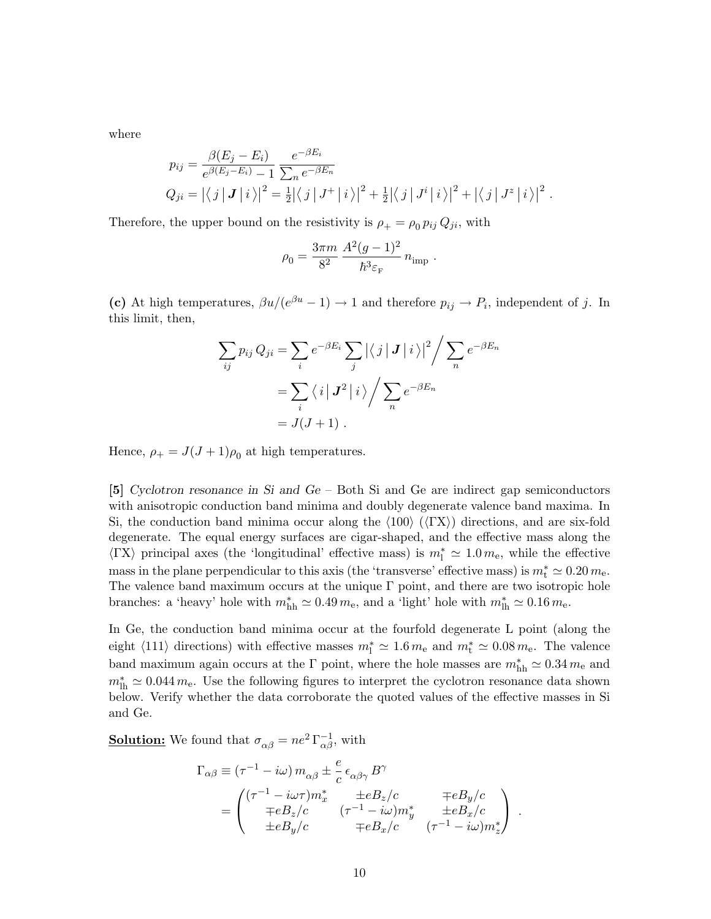where

$$
p_{ij} = \frac{\beta(E_j - E_i)}{e^{\beta(E_j - E_i)} - 1} \frac{e^{-\beta E_i}}{\sum_n e^{-\beta E_n}}
$$
  
\n
$$
Q_{ji} = \left| \langle j | J | i \rangle \right|^2 = \frac{1}{2} \left| \langle j | J^+ | i \rangle \right|^2 + \frac{1}{2} \left| \langle j | J^i | i \rangle \right|^2 + \left| \langle j | J^z | i \rangle \right|^2.
$$

Therefore, the upper bound on the resistivity is  $\rho_+ = \rho_0 p_{ij} Q_{ji}$ , with

$$
\rho_0 = \frac{3\pi m}{8^2} \, \frac{A^2 (g-1)^2}{\hbar^3 \varepsilon_{\rm F}} \, n_{\rm imp} \; .
$$

(c) At high temperatures,  $\beta u/(e^{\beta u}-1) \to 1$  and therefore  $p_{ij} \to P_i$ , independent of j. In this limit, then,

$$
\sum_{ij} p_{ij} Q_{ji} = \sum_{i} e^{-\beta E_i} \sum_{j} \left| \langle j | J | i \rangle \right|^2 / \sum_{n} e^{-\beta E_n}
$$

$$
= \sum_{i} \langle i | J^2 | i \rangle / \sum_{n} e^{-\beta E_n}
$$

$$
= J(J+1) .
$$

Hence,  $\rho_+ = J(J+1)\rho_0$  at high temperatures.

[5] Cyclotron resonance in Si and Ge – Both Si and Ge are indirect gap semiconductors with anisotropic conduction band minima and doubly degenerate valence band maxima. In Si, the conduction band minima occur along the  $\langle 100 \rangle$  ( $\langle \Gamma X \rangle$ ) directions, and are six-fold degenerate. The equal energy surfaces are cigar-shaped, and the effective mass along the  $\langle \Gamma X \rangle$  principal axes (the 'longitudinal' effective mass) is  $m_1^* \simeq 1.0 m_e$ , while the effective mass in the plane perpendicular to this axis (the 'transverse' effective mass) is  $m_t^* \simeq 0.20 m_e$ . The valence band maximum occurs at the unique  $\Gamma$  point, and there are two isotropic hole branches: a 'heavy' hole with  $m_{hh}^* \simeq 0.49 m_e$ , and a 'light' hole with  $m_{lh}^* \simeq 0.16 m_e$ .

In Ge, the conduction band minima occur at the fourfold degenerate L point (along the eight  $\langle 111 \rangle$  directions) with effective masses  $m_1^* \simeq 1.6 m_e$  and  $m_t^* \simeq 0.08 m_e$ . The valence band maximum again occurs at the  $\Gamma$  point, where the hole masses are  $m_{\rm hh}^* \simeq 0.34 \, m_{\rm e}$  and  $m<sub>lh</sub><sup>*</sup> \simeq 0.044 m<sub>e</sub>$ . Use the following figures to interpret the cyclotron resonance data shown below. Verify whether the data corroborate the quoted values of the effective masses in Si and Ge.

**Solution:** We found that  $\sigma_{\alpha\beta} = ne^2 \Gamma_{\alpha\beta}^{-1}$ , with

$$
\Gamma_{\alpha\beta} \equiv (\tau^{-1} - i\omega) m_{\alpha\beta} \pm \frac{e}{c} \epsilon_{\alpha\beta\gamma} B^{\gamma}
$$
\n
$$
= \begin{pmatrix}\n(\tau^{-1} - i\omega\tau) m_x^* & \pm eB_z/c & \mp eB_y/c \\
\mp eB_z/c & (\tau^{-1} - i\omega) m_y^* & \pm eB_x/c \\
\pm eB_y/c & \mp eB_x/c & (\tau^{-1} - i\omega) m_z^*\n\end{pmatrix}.
$$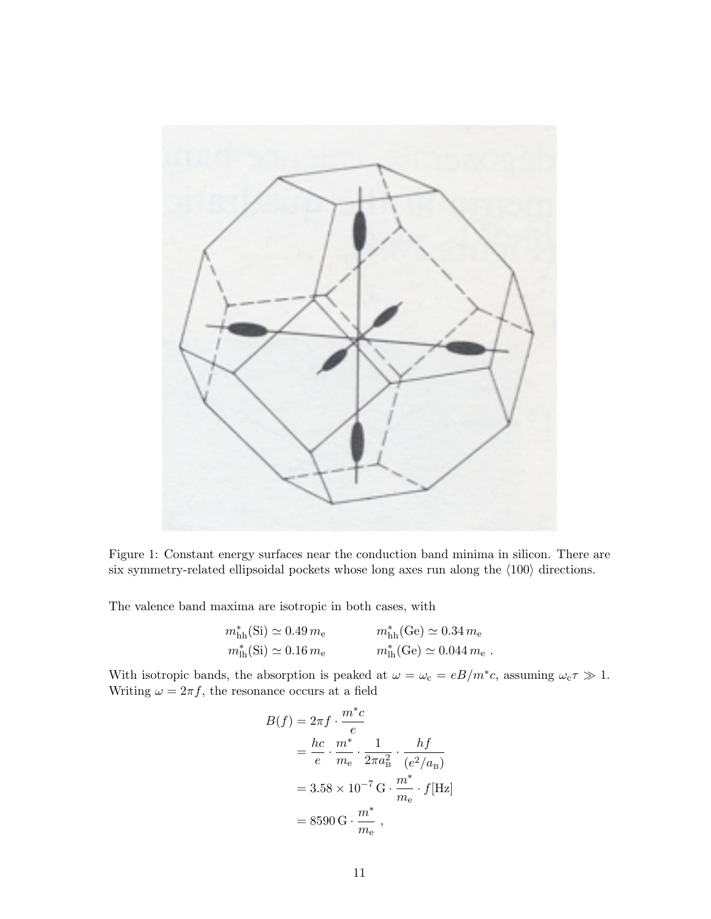

Figure 1: Constant energy surfaces near the conduction band minima in silicon. There are six symmetry-related ellipsoidal pockets whose long axes run along the  $\langle 100 \rangle$  directions.

The valence band maxima are isotropic in both cases, with

$$
m_{\text{hh}}^*(\text{Si}) \simeq 0.49 m_e
$$
  $m_{\text{hh}}^*(\text{Ge}) \simeq 0.34 m_e$   
 $m_{\text{lh}}^*(\text{Si}) \simeq 0.16 m_e$   $m_{\text{lh}}^*(\text{Ge}) \simeq 0.044 m_e$ .

With isotropic bands, the absorption is peaked at  $\omega = \omega_c = eB/m^*c$ , assuming  $\omega_c \tau \gg 1$ . Writing  $\omega = 2\pi f$ , the resonance occurs at a field

$$
B(f) = 2\pi f \cdot \frac{m^* c}{e}
$$
  
=  $\frac{hc}{e} \cdot \frac{m^*}{m_e} \cdot \frac{1}{2\pi a_B^2} \cdot \frac{hf}{(e^2/a_B)}$   
=  $3.58 \times 10^{-7} \text{ G} \cdot \frac{m^*}{m_e} \cdot f[\text{Hz}]$   
=  $8590 \text{ G} \cdot \frac{m^*}{m_e}$ ,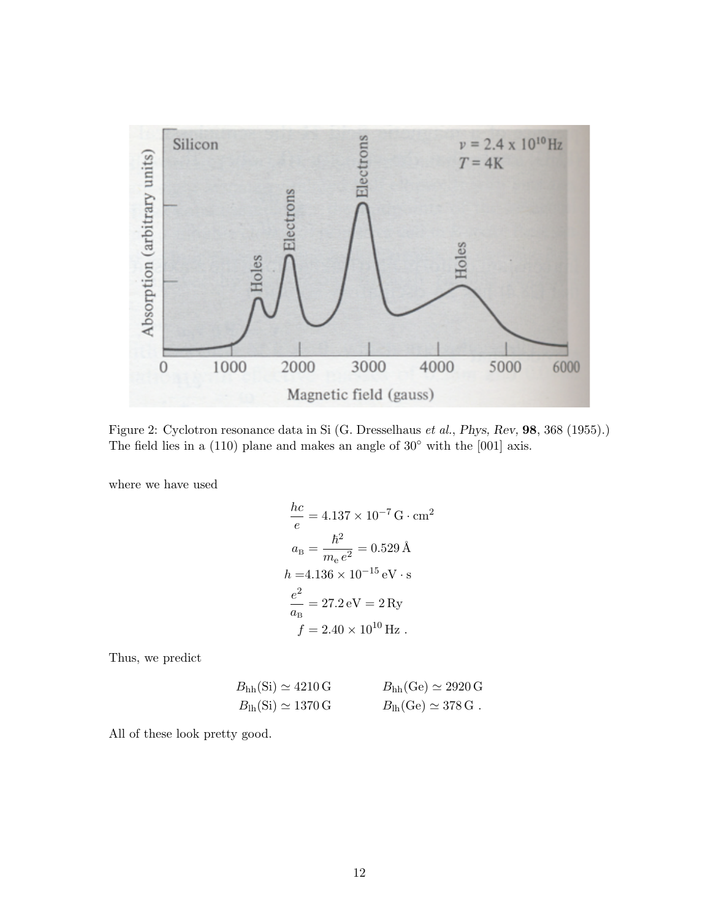

Figure 2: Cyclotron resonance data in Si (G. Dresselhaus et al., Phys, Rev, 98, 368 (1955).) The field lies in a (110) plane and makes an angle of  $30°$  with the [001] axis.

where we have used

$$
\frac{hc}{e} = 4.137 \times 10^{-7} \,\text{G} \cdot \text{cm}^2
$$

$$
a_B = \frac{\hbar^2}{m_e e^2} = 0.529 \,\text{\AA}
$$

$$
h = 4.136 \times 10^{-15} \,\text{eV} \cdot \text{s}
$$

$$
\frac{e^2}{a_B} = 27.2 \,\text{eV} = 2 \,\text{Ry}
$$

$$
f = 2.40 \times 10^{10} \,\text{Hz}
$$

Thus, we predict

$$
B_{hh}(Si) \simeq 4210 \text{ G}
$$
  $B_{hh}(Ge) \simeq 2920 \text{ G}$   
\n $B_{lh}(Si) \simeq 1370 \text{ G}$   $B_{lh}(Ge) \simeq 378 \text{ G}$ .

All of these look pretty good.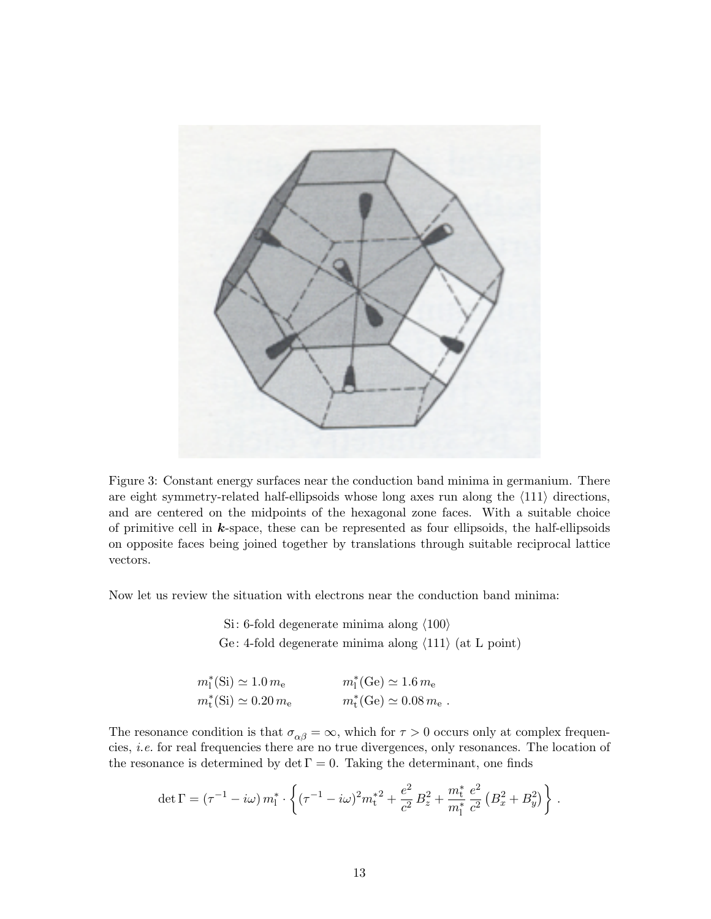

Figure 3: Constant energy surfaces near the conduction band minima in germanium. There are eight symmetry-related half-ellipsoids whose long axes run along the  $\langle 111 \rangle$  directions, and are centered on the midpoints of the hexagonal zone faces. With a suitable choice of primitive cell in  $k$ -space, these can be represented as four ellipsoids, the half-ellipsoids on opposite faces being joined together by translations through suitable reciprocal lattice vectors.

Now let us review the situation with electrons near the conduction band minima:

Si: 6-fold degenerate minima along  $\langle 100 \rangle$ Ge: 4-fold degenerate minima along  $\langle 111 \rangle$  (at L point)

| $m_1^*(\text{Si}) \simeq 1.0 \, m_e$             | $m_1^*(Ge) \simeq 1.6 m_e$                       |
|--------------------------------------------------|--------------------------------------------------|
| $m_{\rm t}^{*}(\rm Si) \simeq 0.20 \, m_{\rm e}$ | $m_{\rm t}^{*}({\rm Ge})\simeq 0.08 m_{\rm e}$ . |

The resonance condition is that  $\sigma_{\alpha\beta} = \infty$ , which for  $\tau > 0$  occurs only at complex frequencies, i.e. for real frequencies there are no true divergences, only resonances. The location of the resonance is determined by det  $\Gamma = 0$ . Taking the determinant, one finds

$$
\det \Gamma = (\tau^{-1} - i\omega) m_1^* \cdot \left\{ (\tau^{-1} - i\omega)^2 m_t^*^2 + \frac{e^2}{c^2} B_z^2 + \frac{m_t^*}{m_1^*} \frac{e^2}{c^2} \left( B_x^2 + B_y^2 \right) \right\}.
$$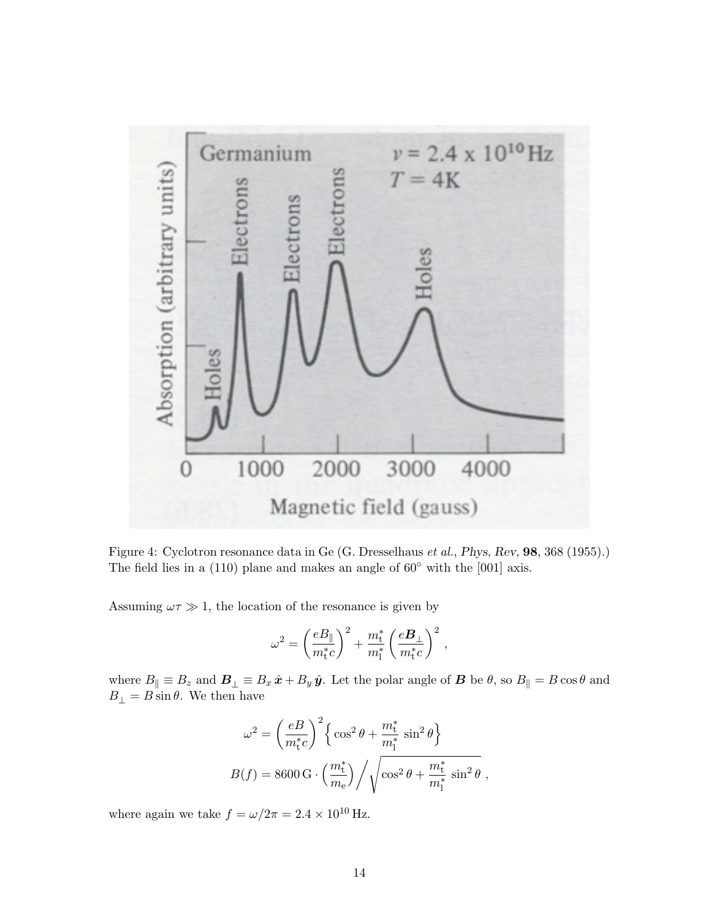

Figure 4: Cyclotron resonance data in Ge (G. Dresselhaus et al., Phys, Rev, 98, 368 (1955).) The field lies in a  $(110)$  plane and makes an angle of  $60°$  with the  $[001]$  axis.

Assuming  $\omega \tau \gg 1$ , the location of the resonance is given by

$$
\omega^2 = \left(\frac{eB_\parallel}{m_{\rm t}^*c}\right)^2 + \frac{m_{\rm t}^*}{m_{\rm l}^*} \left(\frac{e{\cal B}_\perp}{m_{\rm t}^*c}\right)^2\,,
$$

where  $B_{\parallel} \equiv B_z$  and  $B_{\perp} \equiv B_x \hat{x} + B_y \hat{y}$ . Let the polar angle of  $B$  be  $\theta$ , so  $B_{\parallel} = B \cos \theta$  and  $B_{\perp} = B \sin \theta$ . We then have

$$
\omega^2 = \left(\frac{eB}{m_t^*c}\right)^2 \left\{ \cos^2 \theta + \frac{m_t^*}{m_1^*} \sin^2 \theta \right\}
$$

$$
B(f) = 8600 \,\text{G} \cdot \left(\frac{m_t^*}{m_e}\right) / \sqrt{\cos^2 \theta + \frac{m_t^*}{m_1^*} \sin^2 \theta} \;,
$$

where again we take  $f = \omega/2\pi = 2.4 \times 10^{10}$  Hz.